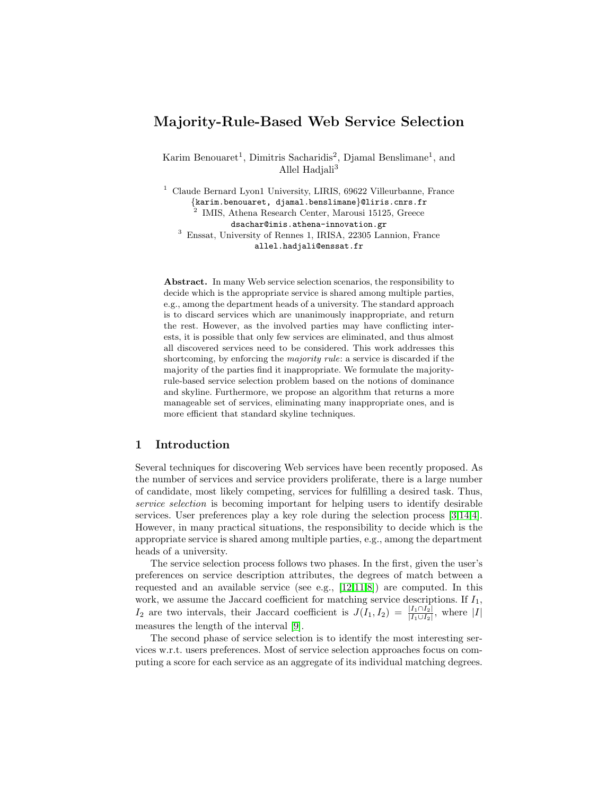# Majority-Rule-Based Web Service Selection

Karim Benouaret<sup>1</sup>, Dimitris Sacharidis<sup>2</sup>, Djamal Benslimane<sup>1</sup>, and Allel Hadiali $3$ 

<sup>1</sup> Claude Bernard Lyon1 University, LIRIS, 69622 Villeurbanne, France {karim.benouaret, djamal.benslimane}@liris.cnrs.fr 2 IMIS, Athena Research Center, Marousi 15125, Greece dsachar@imis.athena-innovation.gr <sup>3</sup> Enssat, University of Rennes 1, IRISA, 22305 Lannion, France allel.hadjali@enssat.fr

Abstract. In many Web service selection scenarios, the responsibility to decide which is the appropriate service is shared among multiple parties, e.g., among the department heads of a university. The standard approach is to discard services which are unanimously inappropriate, and return the rest. However, as the involved parties may have conflicting interests, it is possible that only few services are eliminated, and thus almost all discovered services need to be considered. This work addresses this shortcoming, by enforcing the *majority rule*: a service is discarded if the majority of the parties find it inappropriate. We formulate the majorityrule-based service selection problem based on the notions of dominance and skyline. Furthermore, we propose an algorithm that returns a more manageable set of services, eliminating many inappropriate ones, and is more efficient that standard skyline techniques.

## 1 Introduction

Several techniques for discovering Web services have been recently proposed. As the number of services and service providers proliferate, there is a large number of candidate, most likely competing, services for fulfilling a desired task. Thus, service selection is becoming important for helping users to identify desirable services. User preferences play a key role during the selection process [\[3,](#page-6-0)[14,](#page-6-1)[4\]](#page-6-2). However, in many practical situations, the responsibility to decide which is the appropriate service is shared among multiple parties, e.g., among the department heads of a university.

The service selection process follows two phases. In the first, given the user's preferences on service description attributes, the degrees of match between a requested and an available service (see e.g., [\[12,](#page-6-3)[11,](#page-6-4)[8\]](#page-6-5)) are computed. In this work, we assume the Jaccard coefficient for matching service descriptions. If  $I_1$ ,  $I_2$  are two intervals, their Jaccard coefficient is  $J(I_1, I_2) = \frac{|I_1 \cap I_2|}{|I_1 \cup I_2|}$ , where |I| measures the length of the interval [\[9\]](#page-6-6).

The second phase of service selection is to identify the most interesting services w.r.t. users preferences. Most of service selection approaches focus on computing a score for each service as an aggregate of its individual matching degrees.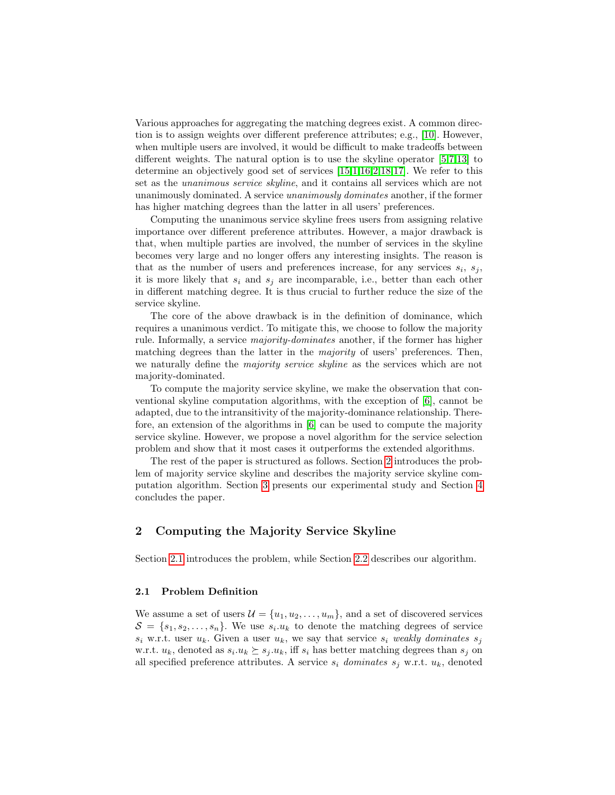Various approaches for aggregating the matching degrees exist. A common direction is to assign weights over different preference attributes; e.g., [\[10\]](#page-6-7). However, when multiple users are involved, it would be difficult to make tradeoffs between different weights. The natural option is to use the skyline operator [\[5](#page-6-8)[,7,](#page-6-9)[13\]](#page-6-10) to determine an objectively good set of services [\[15,](#page-6-11)[1,](#page-6-12)[16,](#page-6-13)[2](#page-6-14)[,18,](#page-6-15)[17\]](#page-6-16). We refer to this set as the unanimous service skyline, and it contains all services which are not unanimously dominated. A service unanimously dominates another, if the former has higher matching degrees than the latter in all users' preferences.

Computing the unanimous service skyline frees users from assigning relative importance over different preference attributes. However, a major drawback is that, when multiple parties are involved, the number of services in the skyline becomes very large and no longer offers any interesting insights. The reason is that as the number of users and preferences increase, for any services  $s_i$ ,  $s_j$ , it is more likely that  $s_i$  and  $s_j$  are incomparable, i.e., better than each other in different matching degree. It is thus crucial to further reduce the size of the service skyline.

The core of the above drawback is in the definition of dominance, which requires a unanimous verdict. To mitigate this, we choose to follow the majority rule. Informally, a service majority-dominates another, if the former has higher matching degrees than the latter in the *majority* of users' preferences. Then, we naturally define the majority service skyline as the services which are not majority-dominated.

To compute the majority service skyline, we make the observation that conventional skyline computation algorithms, with the exception of [\[6\]](#page-6-17), cannot be adapted, due to the intransitivity of the majority-dominance relationship. Therefore, an extension of the algorithms in [\[6\]](#page-6-17) can be used to compute the majority service skyline. However, we propose a novel algorithm for the service selection problem and show that it most cases it outperforms the extended algorithms.

The rest of the paper is structured as follows. Section [2](#page-1-0) introduces the problem of majority service skyline and describes the majority service skyline computation algorithm. Section [3](#page-3-0) presents our experimental study and Section [4](#page-5-0) concludes the paper.

# <span id="page-1-0"></span>2 Computing the Majority Service Skyline

Section [2.1](#page-1-1) introduces the problem, while Section [2.2](#page-2-0) describes our algorithm.

## <span id="page-1-1"></span>2.1 Problem Definition

We assume a set of users  $\mathcal{U} = \{u_1, u_2, \dots, u_m\}$ , and a set of discovered services  $S = \{s_1, s_2, \ldots, s_n\}$ . We use  $s_i.u_k$  to denote the matching degrees of service  $s_i$  w.r.t. user  $u_k$ . Given a user  $u_k$ , we say that service  $s_i$  weakly dominates  $s_j$ w.r.t.  $u_k$ , denoted as  $s_i.u_k \succeq s_j.u_k$ , iff  $s_i$  has better matching degrees than  $s_j$  on all specified preference attributes. A service  $s_i$  dominates  $s_j$  w.r.t.  $u_k$ , denoted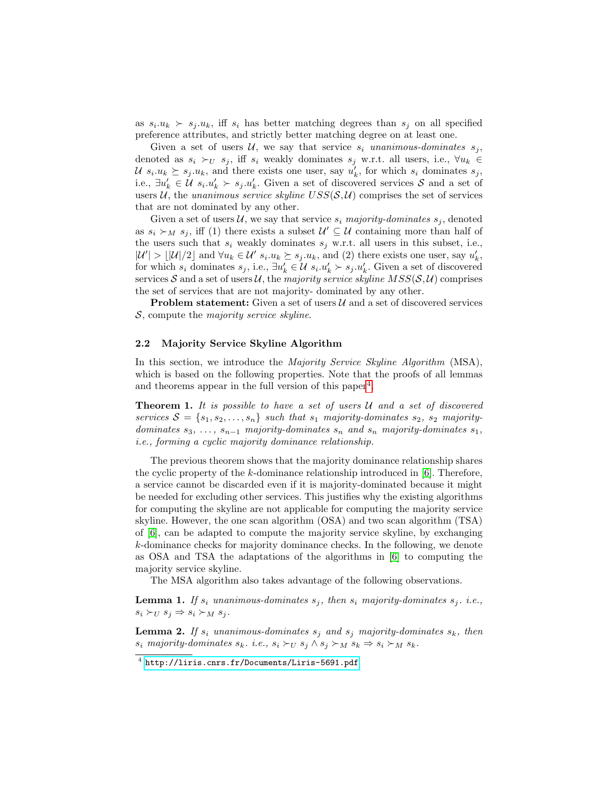as  $s_i.u_k \succ s_j.u_k$ , iff  $s_i$  has better matching degrees than  $s_j$  on all specified preference attributes, and strictly better matching degree on at least one.

Given a set of users U, we say that service  $s_i$  unanimous-dominates  $s_j$ , denoted as  $s_i \succ_U s_j$ , iff  $s_i$  weakly dominates  $s_j$  w.r.t. all users, i.e.,  $\forall u_k \in$  $\mathcal{U}$   $s_i.u_k \succeq s_j.u_k$ , and there exists one user, say  $u'_k$ , for which  $s_i$  dominates  $s_j$ , i.e.,  $\exists u'_k \in \mathcal{U}$   $s_i.u'_k \succ s_j.u'_k$ . Given a set of discovered services S and a set of users U, the unanimous service skyline  $USS(S, U)$  comprises the set of services that are not dominated by any other.

Given a set of users  $U$ , we say that service  $s_i$  majority-dominates  $s_j$ , denoted as  $s_i \succ_M s_j$ , iff (1) there exists a subset  $\mathcal{U}' \subseteq \mathcal{U}$  containing more than half of the users such that  $s_i$  weakly dominates  $s_j$  w.r.t. all users in this subset, i.e.,  $|\mathcal{U}'| > |\mathcal{U}|/2$  and  $\forall u_k \in \mathcal{U}'$   $s_i.u_k \succeq s_j.u_k$ , and (2) there exists one user, say  $u'_k$ , for which  $s_i$  dominates  $s_j$ , i.e.,  $\exists u'_k \in \mathcal{U}$   $s_i.u'_k \succ s_j.u'_k$ . Given a set of discovered services S and a set of users U, the majority service skyline  $MSS(S, U)$  comprises the set of services that are not majority- dominated by any other.

**Problem statement:** Given a set of users  $U$  and a set of discovered services  $S$ , compute the *majority service skyline*.

#### <span id="page-2-0"></span>2.2 Majority Service Skyline Algorithm

In this section, we introduce the *Majority Service Skyline Algorithm* (MSA), which is based on the following properties. Note that the proofs of all lemmas and theorems appear in the full version of this paper<sup>[4](#page-2-1)</sup>.

**Theorem 1.** It is possible to have a set of users  $U$  and a set of discovered services  $S = \{s_1, s_2, \ldots, s_n\}$  such that  $s_1$  majority-dominates  $s_2$ ,  $s_2$  majoritydominates  $s_3, \ldots, s_{n-1}$  majority-dominates  $s_n$  and  $s_n$  majority-dominates  $s_1$ , i.e., forming a cyclic majority dominance relationship.

The previous theorem shows that the majority dominance relationship shares the cyclic property of the  $k$ -dominance relationship introduced in [\[6\]](#page-6-17). Therefore, a service cannot be discarded even if it is majority-dominated because it might be needed for excluding other services. This justifies why the existing algorithms for computing the skyline are not applicable for computing the majority service skyline. However, the one scan algorithm (OSA) and two scan algorithm (TSA) of [\[6\]](#page-6-17), can be adapted to compute the majority service skyline, by exchanging k-dominance checks for majority dominance checks. In the following, we denote as OSA and TSA the adaptations of the algorithms in [\[6\]](#page-6-17) to computing the majority service skyline.

The MSA algorithm also takes advantage of the following observations.

**Lemma 1.** If  $s_i$  unanimous-dominates  $s_j$ , then  $s_i$  majority-dominates  $s_j$ . i.e.,  $s_i \succ_U s_j \Rightarrow s_i \succ_M s_j$ .

**Lemma 2.** If  $s_i$  unanimous-dominates  $s_j$  and  $s_j$  majority-dominates  $s_k$ , then  $s_i$  majority-dominates  $s_k$ . i.e.,  $s_i \succ_U s_j \land s_j \succ_M s_k \Rightarrow s_i \succ_M s_k$ .

<span id="page-2-1"></span><sup>4</sup> <http://liris.cnrs.fr/Documents/Liris-5691.pdf>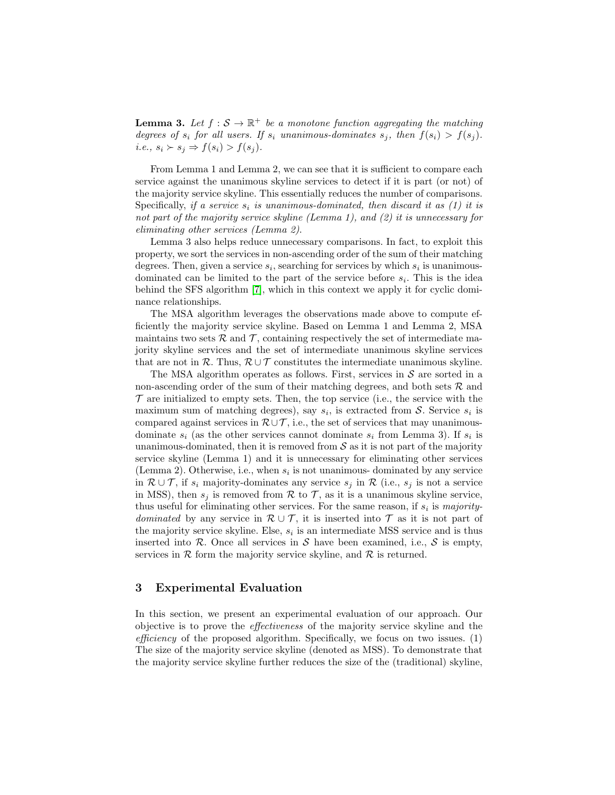**Lemma 3.** Let  $f : \mathcal{S} \to \mathbb{R}^+$  be a monotone function aggregating the matching degrees of  $s_i$  for all users. If  $s_i$  unanimous-dominates  $s_j$ , then  $f(s_i) > f(s_j)$ . i.e.,  $s_i \succ s_j \Rightarrow f(s_i) > f(s_j)$ .

From Lemma 1 and Lemma 2, we can see that it is sufficient to compare each service against the unanimous skyline services to detect if it is part (or not) of the majority service skyline. This essentially reduces the number of comparisons. Specifically, if a service  $s_i$  is unanimous-dominated, then discard it as (1) it is not part of the majority service skyline (Lemma 1), and (2) it is unnecessary for eliminating other services (Lemma 2).

Lemma 3 also helps reduce unnecessary comparisons. In fact, to exploit this property, we sort the services in non-ascending order of the sum of their matching degrees. Then, given a service  $s_i$ , searching for services by which  $s_i$  is unanimousdominated can be limited to the part of the service before  $s_i$ . This is the idea behind the SFS algorithm [\[7\]](#page-6-9), which in this context we apply it for cyclic dominance relationships.

The MSA algorithm leverages the observations made above to compute efficiently the majority service skyline. Based on Lemma 1 and Lemma 2, MSA maintains two sets  $\mathcal{R}$  and  $\mathcal{T}$ , containing respectively the set of intermediate majority skyline services and the set of intermediate unanimous skyline services that are not in R. Thus,  $\mathcal{R} \cup \mathcal{T}$  constitutes the intermediate unanimous skyline.

The MSA algorithm operates as follows. First, services in  $S$  are sorted in a non-ascending order of the sum of their matching degrees, and both sets  $R$  and  $\mathcal T$  are initialized to empty sets. Then, the top service (i.e., the service with the maximum sum of matching degrees), say  $s_i$ , is extracted from S. Service  $s_i$  is compared against services in  $\mathcal{R}\cup\mathcal{T}$ , i.e., the set of services that may unanimousdominate  $s_i$  (as the other services cannot dominate  $s_i$  from Lemma 3). If  $s_i$  is unanimous-dominated, then it is removed from  $S$  as it is not part of the majority service skyline (Lemma 1) and it is unnecessary for eliminating other services (Lemma 2). Otherwise, i.e., when  $s_i$  is not unanimous-dominated by any service in  $\mathcal{R} \cup \mathcal{T}$ , if  $s_i$  majority-dominates any service  $s_j$  in  $\mathcal{R}$  (i.e.,  $s_j$  is not a service in MSS), then  $s_i$  is removed from R to T, as it is a unanimous skyline service, thus useful for eliminating other services. For the same reason, if  $s_i$  is *majority*dominated by any service in  $\mathcal{R} \cup \mathcal{T}$ , it is inserted into  $\mathcal{T}$  as it is not part of the majority service skyline. Else,  $s_i$  is an intermediate MSS service and is thus inserted into R. Once all services in S have been examined, i.e., S is empty, services in  $R$  form the majority service skyline, and  $R$  is returned.

## <span id="page-3-0"></span>3 Experimental Evaluation

In this section, we present an experimental evaluation of our approach. Our objective is to prove the effectiveness of the majority service skyline and the efficiency of the proposed algorithm. Specifically, we focus on two issues.  $(1)$ The size of the majority service skyline (denoted as MSS). To demonstrate that the majority service skyline further reduces the size of the (traditional) skyline,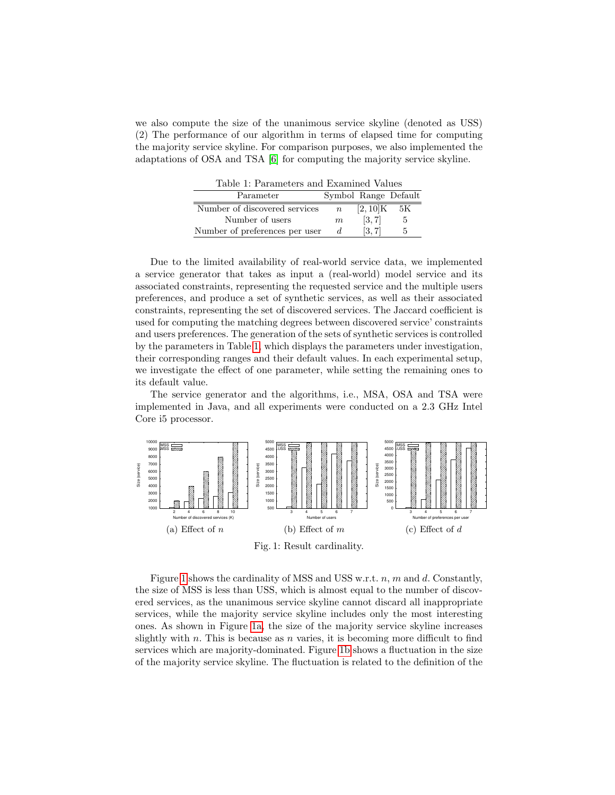we also compute the size of the unanimous service skyline (denoted as USS) (2) The performance of our algorithm in terms of elapsed time for computing the majority service skyline. For comparison purposes, we also implemented the adaptations of OSA and TSA [\[6\]](#page-6-17) for computing the majority service skyline.

Table 1: Parameters and Examined Values

<span id="page-4-0"></span>

| IWAIO II I WIWIIIOWIA WIKI IZIWIIIIWA TWIMO |                  |                      |    |
|---------------------------------------------|------------------|----------------------|----|
| Parameter                                   |                  | Symbol Range Default |    |
| Number of discovered services               | $\boldsymbol{n}$ | $[2,10]\mathrm{K}$   | 5К |
| Number of users                             | m                | [3, 7]               | 5  |
| Number of preferences per user              |                  | [3, 7]               | 5  |

Due to the limited availability of real-world service data, we implemented a service generator that takes as input a (real-world) model service and its associated constraints, representing the requested service and the multiple users preferences, and produce a set of synthetic services, as well as their associated constraints, representing the set of discovered services. The Jaccard coefficient is used for computing the matching degrees between discovered service' constraints and users preferences. The generation of the sets of synthetic services is controlled by the parameters in Table [1,](#page-4-0) which displays the parameters under investigation, their corresponding ranges and their default values. In each experimental setup, we investigate the effect of one parameter, while setting the remaining ones to its default value.

The service generator and the algorithms, i.e., MSA, OSA and TSA were implemented in Java, and all experiments were conducted on a 2.3 GHz Intel Core i5 processor.

<span id="page-4-2"></span><span id="page-4-1"></span>

<span id="page-4-4"></span><span id="page-4-3"></span>Fig. 1: Result cardinality.

Figure [1](#page-4-1) shows the cardinality of MSS and USS w.r.t.  $n, m$  and  $d$ . Constantly, the size of MSS is less than USS, which is almost equal to the number of discovered services, as the unanimous service skyline cannot discard all inappropriate services, while the majority service skyline includes only the most interesting ones. As shown in Figure [1a,](#page-4-2) the size of the majority service skyline increases slightly with n. This is because as n varies, it is becoming more difficult to find services which are majority-dominated. Figure [1b](#page-4-3) shows a fluctuation in the size of the majority service skyline. The fluctuation is related to the definition of the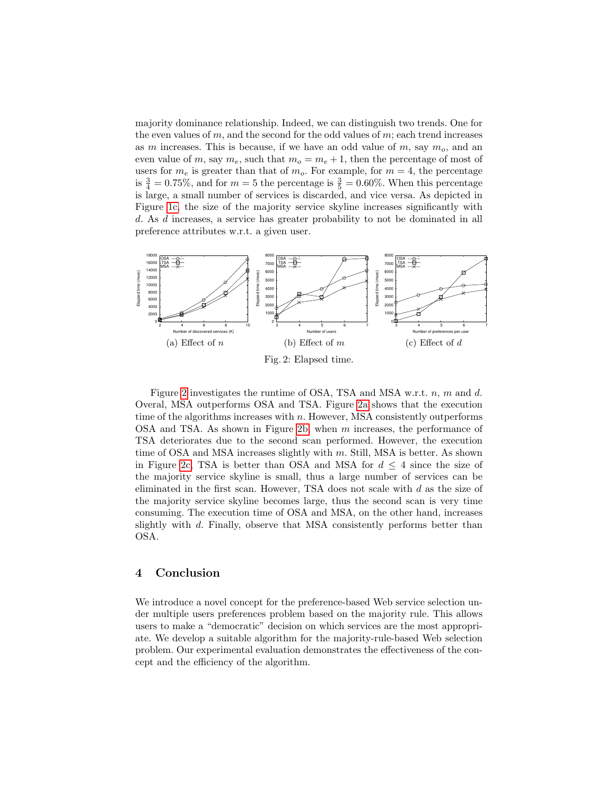majority dominance relationship. Indeed, we can distinguish two trends. One for the even values of m, and the second for the odd values of m; each trend increases as m increases. This is because, if we have an odd value of  $m$ , say  $m<sub>o</sub>$ , and an even value of m, say  $m_e$ , such that  $m_o = m_e + 1$ , then the percentage of most of users for  $m_e$  is greater than that of  $m_o$ . For example, for  $m = 4$ , the percentage is  $\frac{3}{4} = 0.75\%$ , and for  $m = 5$  the percentage is  $\frac{3}{5} = 0.60\%$ . When this percentage is large, a small number of services is discarded, and vice versa. As depicted in Figure [1c,](#page-4-4) the size of the majority service skyline increases significantly with d. As d increases, a service has greater probability to not be dominated in all preference attributes w.r.t. a given user.

<span id="page-5-2"></span><span id="page-5-1"></span>

<span id="page-5-4"></span><span id="page-5-3"></span>Figure [2](#page-5-1) investigates the runtime of OSA, TSA and MSA w.r.t. n, m and d. Overal, MSA outperforms OSA and TSA. Figure [2a](#page-5-2) shows that the execution time of the algorithms increases with  $n$ . However, MSA consistently outperforms OSA and TSA. As shown in Figure [2b,](#page-5-3) when m increases, the performance of TSA deteriorates due to the second scan performed. However, the execution time of OSA and MSA increases slightly with m. Still, MSA is better. As shown in Figure [2c,](#page-5-4) TSA is better than OSA and MSA for  $d \leq 4$  since the size of the majority service skyline is small, thus a large number of services can be eliminated in the first scan. However, TSA does not scale with  $d$  as the size of the majority service skyline becomes large, thus the second scan is very time consuming. The execution time of OSA and MSA, on the other hand, increases slightly with d. Finally, observe that MSA consistently performs better than OSA.

### <span id="page-5-0"></span>4 Conclusion

We introduce a novel concept for the preference-based Web service selection under multiple users preferences problem based on the majority rule. This allows users to make a "democratic" decision on which services are the most appropriate. We develop a suitable algorithm for the majority-rule-based Web selection problem. Our experimental evaluation demonstrates the effectiveness of the concept and the efficiency of the algorithm.